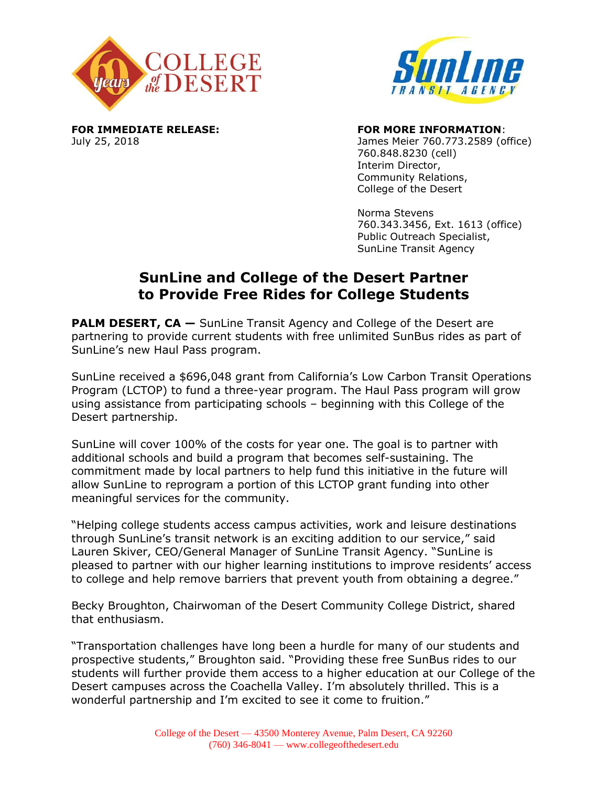



**FOR IMMEDIATE RELEASE: FOR MORE INFORMATION**:

July 25, 2018 James Meier 760.773.2589 (office) 760.848.8230 (cell) Interim Director, Community Relations, College of the Desert

> Norma Stevens 760.343.3456, Ext. 1613 (office) Public Outreach Specialist, SunLine Transit Agency

## **SunLine and College of the Desert Partner to Provide Free Rides for College Students**

**PALM DESERT, CA** – SunLine Transit Agency and College of the Desert are partnering to provide current students with free unlimited SunBus rides as part of SunLine's new Haul Pass program.

SunLine received a \$696,048 grant from California's Low Carbon Transit Operations Program (LCTOP) to fund a three-year program. The Haul Pass program will grow using assistance from participating schools – beginning with this College of the Desert partnership.

SunLine will cover 100% of the costs for year one. The goal is to partner with additional schools and build a program that becomes self-sustaining. The commitment made by local partners to help fund this initiative in the future will allow SunLine to reprogram a portion of this LCTOP grant funding into other meaningful services for the community.

"Helping college students access campus activities, work and leisure destinations through SunLine's transit network is an exciting addition to our service," said Lauren Skiver, CEO/General Manager of SunLine Transit Agency. "SunLine is pleased to partner with our higher learning institutions to improve residents' access to college and help remove barriers that prevent youth from obtaining a degree."

Becky Broughton, Chairwoman of the Desert Community College District, shared that enthusiasm.

"Transportation challenges have long been a hurdle for many of our students and prospective students," Broughton said. "Providing these free SunBus rides to our students will further provide them access to a higher education at our College of the Desert campuses across the Coachella Valley. I'm absolutely thrilled. This is a wonderful partnership and I'm excited to see it come to fruition."